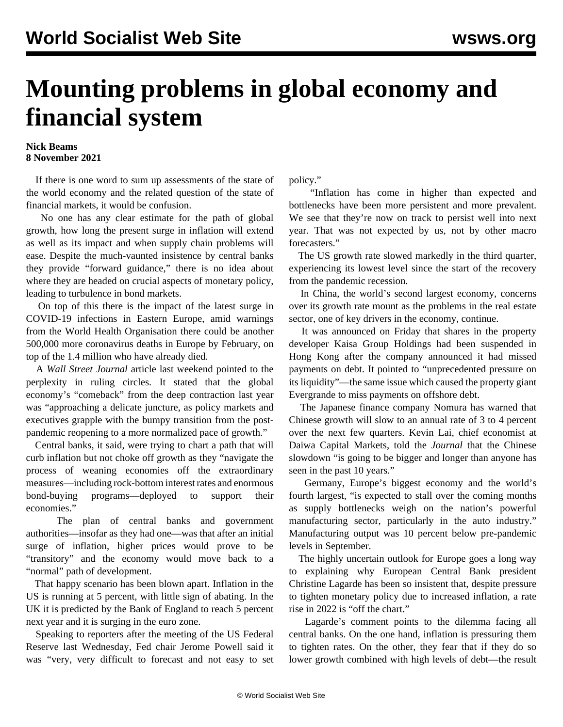## **Mounting problems in global economy and financial system**

## **Nick Beams 8 November 2021**

 If there is one word to sum up assessments of the state of the world economy and the related question of the state of financial markets, it would be confusion.

 No one has any clear estimate for the path of global growth, how long the present surge in inflation will extend as well as its impact and when supply chain problems will ease. Despite the much-vaunted insistence by central banks they provide "forward guidance," there is no idea about where they are headed on crucial aspects of monetary policy, leading to turbulence in bond markets.

 On top of this there is the impact of the latest surge in COVID-19 infections in Eastern Europe, amid warnings from the World Health Organisation there could be another 500,000 more coronavirus deaths in Europe by February, on top of the 1.4 million who have already died.

 A *Wall Street Journal* article last weekend pointed to the perplexity in ruling circles. It stated that the global economy's "comeback" from the deep contraction last year was "approaching a delicate juncture, as policy markets and executives grapple with the bumpy transition from the postpandemic reopening to a more normalized pace of growth."

 Central banks, it said, were trying to chart a path that will curb inflation but not choke off growth as they "navigate the process of weaning economies off the extraordinary measures—including rock-bottom interest rates and enormous bond-buying programs—deployed to support their economies."

 The plan of central banks and government authorities—insofar as they had one—was that after an initial surge of inflation, higher prices would prove to be "transitory" and the economy would move back to a "normal" path of development.

 That happy scenario has been blown apart. Inflation in the US is running at 5 percent, with little sign of abating. In the UK it is predicted by the Bank of England to reach 5 percent next year and it is surging in the euro zone.

 Speaking to reporters after the meeting of the US Federal Reserve last Wednesday, Fed chair Jerome Powell said it was "very, very difficult to forecast and not easy to set policy."

 "Inflation has come in higher than expected and bottlenecks have been more persistent and more prevalent. We see that they're now on track to persist well into next year. That was not expected by us, not by other macro forecasters."

 The US growth rate slowed markedly in the third quarter, experiencing its lowest level since the start of the recovery from the pandemic recession.

 In China, the world's second largest economy, concerns over its growth rate mount as the problems in the real estate sector, one of key drivers in the economy, continue.

 It was announced on Friday that shares in the property developer Kaisa Group Holdings had been suspended in Hong Kong after the company announced it had missed payments on debt. It pointed to "unprecedented pressure on its liquidity"—the same issue which caused the property giant Evergrande to miss payments on offshore debt.

 The Japanese finance company Nomura has warned that Chinese growth will slow to an annual rate of 3 to 4 percent over the next few quarters. Kevin Lai, chief economist at Daiwa Capital Markets, told the *Journal* that the Chinese slowdown "is going to be bigger and longer than anyone has seen in the past 10 years."

 Germany, Europe's biggest economy and the world's fourth largest, "is expected to stall over the coming months as supply bottlenecks weigh on the nation's powerful manufacturing sector, particularly in the auto industry." Manufacturing output was 10 percent below pre-pandemic levels in September.

 The highly uncertain outlook for Europe goes a long way to explaining why European Central Bank president Christine Lagarde has been so insistent that, despite pressure to tighten monetary policy due to increased inflation, a rate rise in 2022 is "off the chart."

 Lagarde's comment points to the dilemma facing all central banks. On the one hand, inflation is pressuring them to tighten rates. On the other, they fear that if they do so lower growth combined with high levels of debt—the result